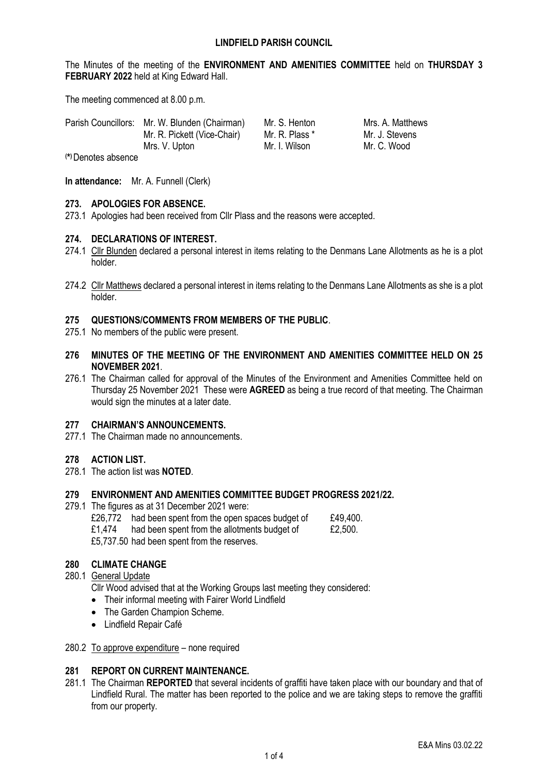The Minutes of the meeting of the **ENVIRONMENT AND AMENITIES COMMITTEE** held on **THURSDAY 3 FEBRUARY 2022** held at King Edward Hall.

The meeting commenced at 8.00 p.m.

|              | Parish Councillors: Mr. W. Blunden (Chairman) | Mr. S. Henton  | Mrs. A. Matthews |
|--------------|-----------------------------------------------|----------------|------------------|
|              | Mr. R. Pickett (Vice-Chair)                   | Mr. R. Plass * | Mr. J. Stevens   |
|              | Mrs. V. Upton                                 | Mr. I. Wilson  | Mr. C. Wood      |
| $\mathbf{A}$ |                                               |                |                  |

**( \* )**Denotes absence

**In attendance:** Mr. A. Funnell (Clerk)

### **273. APOLOGIES FOR ABSENCE.**

273.1 Apologies had been received from Cllr Plass and the reasons were accepted.

### **274. DECLARATIONS OF INTEREST.**

- 274.1 Cllr Blunden declared a personal interest in items relating to the Denmans Lane Allotments as he is a plot holder.
- 274.2 Cllr Matthews declared a personal interest in items relating to the Denmans Lane Allotments as she is a plot holder.

#### **275 QUESTIONS/COMMENTS FROM MEMBERS OF THE PUBLIC**.

- 275.1 No members of the public were present.
- **276 MINUTES OF THE MEETING OF THE ENVIRONMENT AND AMENITIES COMMITTEE HELD ON 25 NOVEMBER 2021**.
- 276.1 The Chairman called for approval of the Minutes of the Environment and Amenities Committee held on Thursday 25 November 2021 These were **AGREED** as being a true record of that meeting. The Chairman would sign the minutes at a later date.

#### **277 CHAIRMAN'S ANNOUNCEMENTS.**

277.1 The Chairman made no announcements.

## **278 ACTION LIST.**

278.1 The action list was **NOTED**.

#### **279 ENVIRONMENT AND AMENITIES COMMITTEE BUDGET PROGRESS 2021/22.**

- 279.1 The figures as at 31 December 2021 were:
	- £26,772 had been spent from the open spaces budget of  $£49,400.$ <br>£1.474 had been spent from the allotments budget of  $£2.500.$
	- $£1.474$  had been spent from the allotments budget of

£5,737.50 had been spent from the reserves.

# **280 CLIMATE CHANGE**

280.1 General Update

Cllr Wood advised that at the Working Groups last meeting they considered:

- Their informal meeting with Fairer World Lindfield
- The Garden Champion Scheme.
- Lindfield Repair Café

#### 280.2 To approve expenditure – none required

## **281 REPORT ON CURRENT MAINTENANCE.**

281.1 The Chairman **REPORTED** that several incidents of graffiti have taken place with our boundary and that of Lindfield Rural. The matter has been reported to the police and we are taking steps to remove the graffiti from our property.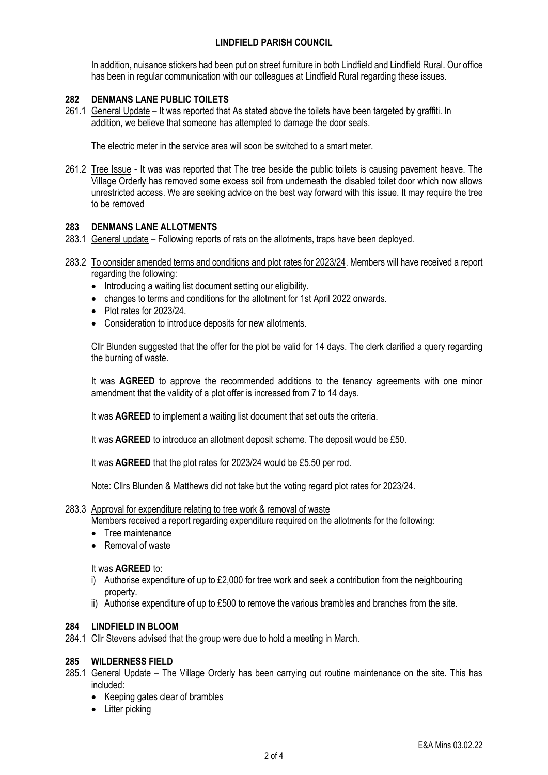# **LINDFIELD PARISH COUNCIL**

In addition, nuisance stickers had been put on street furniture in both Lindfield and Lindfield Rural. Our office has been in regular communication with our colleagues at Lindfield Rural regarding these issues.

## **282 DENMANS LANE PUBLIC TOILETS**

261.1 General Update – It was reported that As stated above the toilets have been targeted by graffiti. In addition, we believe that someone has attempted to damage the door seals.

The electric meter in the service area will soon be switched to a smart meter.

261.2 Tree Issue - It was was reported that The tree beside the public toilets is causing pavement heave. The Village Orderly has removed some excess soil from underneath the disabled toilet door which now allows unrestricted access. We are seeking advice on the best way forward with this issue. It may require the tree to be removed

#### **283 DENMANS LANE ALLOTMENTS**

- 283.1 General update Following reports of rats on the allotments, traps have been deployed.
- 283.2 To consider amended terms and conditions and plot rates for 2023/24. Members will have received a report regarding the following:
	- Introducing a waiting list document setting our eligibility.
	- changes to terms and conditions for the allotment for 1st April 2022 onwards.
	- Plot rates for 2023/24
	- Consideration to introduce deposits for new allotments.

Cllr Blunden suggested that the offer for the plot be valid for 14 days. The clerk clarified a query regarding the burning of waste.

It was **AGREED** to approve the recommended additions to the tenancy agreements with one minor amendment that the validity of a plot offer is increased from 7 to 14 days.

It was **AGREED** to implement a waiting list document that set outs the criteria.

It was **AGREED** to introduce an allotment deposit scheme. The deposit would be £50.

It was **AGREED** that the plot rates for 2023/24 would be £5.50 per rod.

Note: Cllrs Blunden & Matthews did not take but the voting regard plot rates for 2023/24.

#### 283.3 Approval for expenditure relating to tree work & removal of waste

Members received a report regarding expenditure required on the allotments for the following:

- Tree maintenance
- Removal of waste

#### It was **AGREED** to:

- i) Authorise expenditure of up to £2,000 for tree work and seek a contribution from the neighbouring property.
- ii) Authorise expenditure of up to £500 to remove the various brambles and branches from the site.

### **284 LINDFIELD IN BLOOM**

284.1 Cllr Stevens advised that the group were due to hold a meeting in March.

#### **285 WILDERNESS FIELD**

- 285.1 General Update The Village Orderly has been carrying out routine maintenance on the site. This has included:
	- Keeping gates clear of brambles
	- Litter picking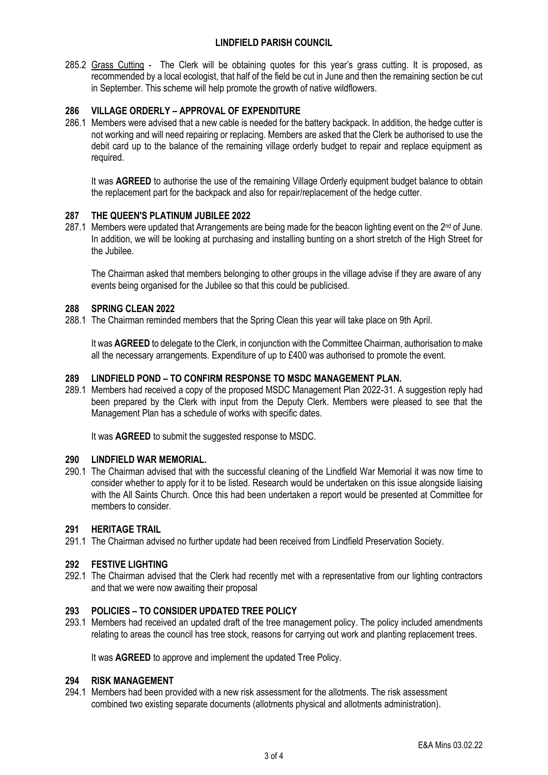# **LINDFIELD PARISH COUNCIL**

285.2 Grass Cutting - The Clerk will be obtaining quotes for this year's grass cutting. It is proposed, as recommended by a local ecologist, that half of the field be cut in June and then the remaining section be cut in September. This scheme will help promote the growth of native wildflowers.

# **286 VILLAGE ORDERLY – APPROVAL OF EXPENDITURE**

286.1 Members were advised that a new cable is needed for the battery backpack. In addition, the hedge cutter is not working and will need repairing or replacing. Members are asked that the Clerk be authorised to use the debit card up to the balance of the remaining village orderly budget to repair and replace equipment as required.

It was **AGREED** to authorise the use of the remaining Village Orderly equipment budget balance to obtain the replacement part for the backpack and also for repair/replacement of the hedge cutter.

### **287 THE QUEEN'S PLATINUM JUBILEE 2022**

287.1 Members were updated that Arrangements are being made for the beacon lighting event on the 2<sup>nd</sup> of June. In addition, we will be looking at purchasing and installing bunting on a short stretch of the High Street for the Jubilee.

The Chairman asked that members belonging to other groups in the village advise if they are aware of any events being organised for the Jubilee so that this could be publicised.

#### **288 SPRING CLEAN 2022**

288.1 The Chairman reminded members that the Spring Clean this year will take place on 9th April.

It was **AGREED** to delegate to the Clerk, in conjunction with the Committee Chairman, authorisation to make all the necessary arrangements. Expenditure of up to £400 was authorised to promote the event.

# **289 LINDFIELD POND – TO CONFIRM RESPONSE TO MSDC MANAGEMENT PLAN.**

289.1 Members had received a copy of the proposed MSDC Management Plan 2022-31. A suggestion reply had been prepared by the Clerk with input from the Deputy Clerk. Members were pleased to see that the Management Plan has a schedule of works with specific dates.

It was **AGREED** to submit the suggested response to MSDC.

### **290 LINDFIELD WAR MEMORIAL.**

290.1 The Chairman advised that with the successful cleaning of the Lindfield War Memorial it was now time to consider whether to apply for it to be listed. Research would be undertaken on this issue alongside liaising with the All Saints Church. Once this had been undertaken a report would be presented at Committee for members to consider.

### **291 HERITAGE TRAIL**

291.1 The Chairman advised no further update had been received from Lindfield Preservation Society.

#### **292 FESTIVE LIGHTING**

292.1 The Chairman advised that the Clerk had recently met with a representative from our lighting contractors and that we were now awaiting their proposal

### **293 POLICIES – TO CONSIDER UPDATED TREE POLICY**

293.1 Members had received an updated draft of the tree management policy. The policy included amendments relating to areas the council has tree stock, reasons for carrying out work and planting replacement trees.

It was **AGREED** to approve and implement the updated Tree Policy.

#### **294 RISK MANAGEMENT**

294.1 Members had been provided with a new risk assessment for the allotments. The risk assessment combined two existing separate documents (allotments physical and allotments administration).